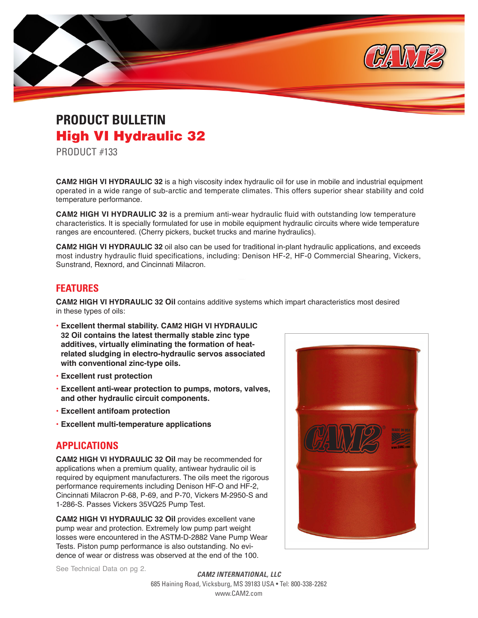

## **PRODUCT BULLETIN**  High VI Hydraulic 32

PRODUCT #133

**CAM2 HIGH VI HYDRAULIC 32** is a high viscosity index hydraulic oil for use in mobile and industrial equipment operated in a wide range of sub-arctic and temperate climates. This offers superior shear stability and cold temperature performance.

**CAM2 HIGH VI HYDRAULIC 32** is a premium anti-wear hydraulic fluid with outstanding low temperature characteristics. It is specially formulated for use in mobile equipment hydraulic circuits where wide temperature ranges are encountered. (Cherry pickers, bucket trucks and marine hydraulics).

**CAM2 HIGH VI HYDRAULIC 32** oil also can be used for traditional in-plant hydraulic applications, and exceeds most industry hydraulic fluid specifications, including: Denison HF-2, HF-0 Commercial Shearing, Vickers, Sunstrand, Rexnord, and Cincinnati Milacron.

### **FEATURES**

**CAM2 HIGH VI HYDRAULIC 32 Oil** contains additive systems which impart characteristics most desired in these types of oils:

- **• Excellent thermal stability. CAM2 HIGH VI HYDRAULIC 32 Oil contains the latest thermally stable zinc type additives, virtually eliminating the formation of heatrelated sludging in electro-hydraulic servos associated with conventional zinc-type oils.**
- **• Excellent rust protection**
- **• Excellent anti-wear protection to pumps, motors, valves, and other hydraulic circuit components.**
- **• Excellent antifoam protection**
- **• Excellent multi-temperature applications**

#### **APPLICATIONS**

**CAM2 HIGH VI HYDRAULIC 32 Oil** may be recommended for applications when a premium quality, antiwear hydraulic oil is required by equipment manufacturers. The oils meet the rigorous performance requirements including Denison HF-O and HF-2, Cincinnati Milacron P-68, P-69, and P-70, Vickers M-2950-S and 1-286-S. Passes Vickers 35VQ25 Pump Test.

**CAM2 HIGH VI HYDRAULIC 32 Oil** provides excellent vane pump wear and protection. Extremely low pump part weight losses were encountered in the ASTM-D-2882 Vane Pump Wear Tests. Piston pump performance is also outstanding. No evidence of wear or distress was observed at the end of the 100.



See Technical Data on pg 2.

*CAM2 INTERNATIONAL, LLC*  685 Haining Road, Vicksburg, MS 39183 USA • Tel: 800-338-2262 www.CAM2.com